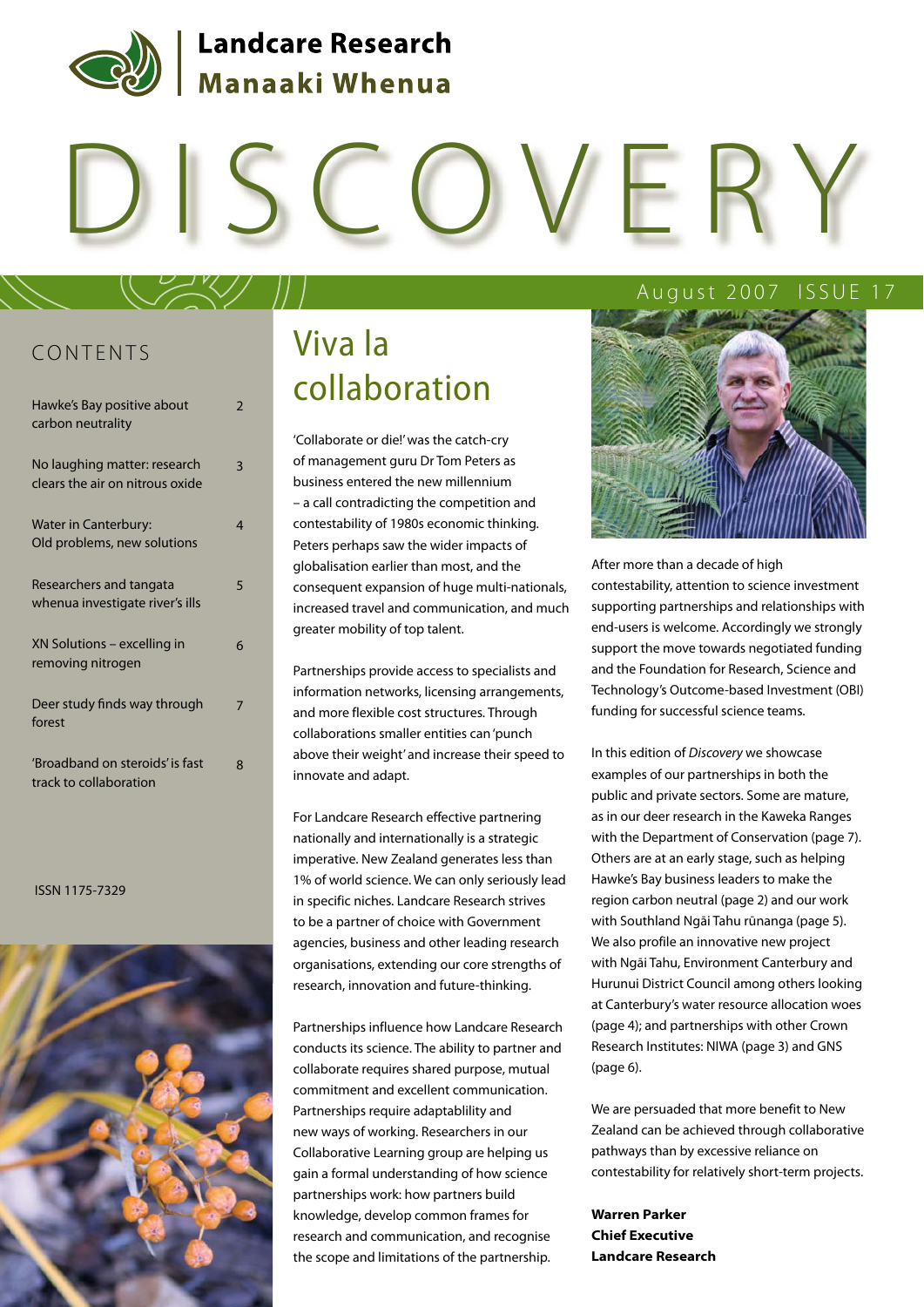

# DISCOVERY

### CONTENTS

| Hawke's Bay positive about<br>carbon neutrality                 | $\overline{\phantom{a}}$ |
|-----------------------------------------------------------------|--------------------------|
| No laughing matter: research<br>clears the air on nitrous oxide | 3                        |
| <b>Water in Canterbury:</b><br>Old problems, new solutions      | 4                        |
| Researchers and tangata<br>whenua investigate river's ills      | 5                        |
| XN Solutions – excelling in<br>removing nitrogen                | 6                        |
| Deer study finds way through<br>forest                          | 7                        |
| 'Broadband on steroids' is fast<br>track to collaboration       | ጸ                        |

ISSN 1175-7329



# Viva la collaboration

'Collaborate or die!' was the catch-cry of management guru Dr Tom Peters as business entered the new millennium – a call contradicting the competition and contestability of 1980s economic thinking. Peters perhaps saw the wider impacts of globalisation earlier than most, and the consequent expansion of huge multi-nationals, increased travel and communication, and much greater mobility of top talent.

Partnerships provide access to specialists and information networks, licensing arrangements, and more flexible cost structures. Through collaborations smaller entities can 'punch above their weight' and increase their speed to innovate and adapt.

For Landcare Research effective partnering nationally and internationally is a strategic imperative. New Zealand generates less than 1% of world science. We can only seriously lead in specific niches. Landcare Research strives to be a partner of choice with Government agencies, business and other leading research organisations, extending our core strengths of research, innovation and future-thinking.

Partnerships influence how Landcare Research conducts its science. The ability to partner and collaborate requires shared purpose, mutual commitment and excellent communication. Partnerships require adaptablility and new ways of working. Researchers in our Collaborative Learning group are helping us gain a formal understanding of how science partnerships work: how partners build knowledge, develop common frames for research and communication, and recognise the scope and limitations of the partnership.

#### August 2007 ISSUE 17



After more than a decade of high contestability, attention to science investment supporting partnerships and relationships with end-users is welcome. Accordingly we strongly support the move towards negotiated funding and the Foundation for Research, Science and Technology's Outcome-based Investment (OBI) funding for successful science teams.

In this edition of Discovery we showcase examples of our partnerships in both the public and private sectors. Some are mature, as in our deer research in the Kaweka Ranges with the Department of Conservation (page 7). Others are at an early stage, such as helping Hawke's Bay business leaders to make the region carbon neutral (page 2) and our work with Southland Ngāi Tahu rūnanga (page 5). We also profile an innovative new project with Ngāi Tahu, Environment Canterbury and Hurunui District Council among others looking at Canterbury's water resource allocation woes (page 4); and partnerships with other Crown Research Institutes: NIWA (page 3) and GNS (page 6).

We are persuaded that more benefit to New Zealand can be achieved through collaborative pathways than by excessive reliance on contestability for relatively short-term projects.

**Warren Parker Chief Executive Landcare Research**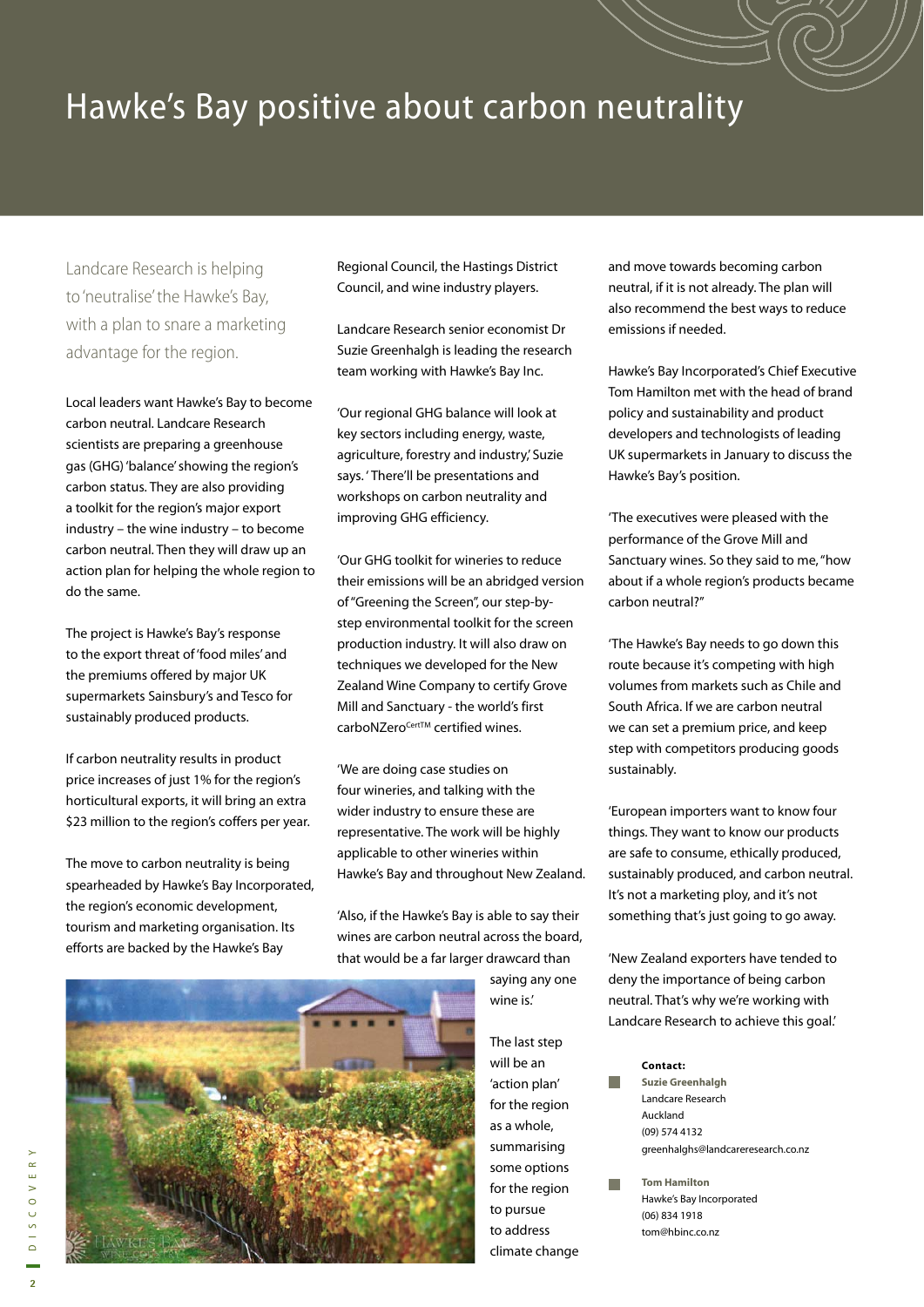## Hawke's Bay positive about carbon neutrality

Landcare Research is helping to 'neutralise' the Hawke's Bay, with a plan to snare a marketing advantage for the region.

Local leaders want Hawke's Bay to become carbon neutral. Landcare Research scientists are preparing a greenhouse gas (GHG) 'balance' showing the region's carbon status. They are also providing a toolkit for the region's major export industry – the wine industry – to become carbon neutral. Then they will draw up an action plan for helping the whole region to do the same.

The project is Hawke's Bay's response to the export threat of 'food miles' and the premiums offered by major UK supermarkets Sainsbury's and Tesco for sustainably produced products.

If carbon neutrality results in product price increases of just 1% for the region's horticultural exports, it will bring an extra \$23 million to the region's coffers per year.

The move to carbon neutrality is being spearheaded by Hawke's Bay Incorporated, the region's economic development, tourism and marketing organisation. Its efforts are backed by the Hawke's Bay

Regional Council, the Hastings District Council, and wine industry players.

Landcare Research senior economist Dr Suzie Greenhalgh is leading the research team working with Hawke's Bay Inc.

'Our regional GHG balance will look at key sectors including energy, waste, agriculture, forestry and industry,' Suzie says. ' There'll be presentations and workshops on carbon neutrality and improving GHG efficiency.

'Our GHG toolkit for wineries to reduce their emissions will be an abridged version of "Greening the Screen", our step-bystep environmental toolkit for the screen production industry. It will also draw on techniques we developed for the New Zealand Wine Company to certify Grove Mill and Sanctuary - the world's first carboNZero<sup>Cert™</sup> certified wines.

'We are doing case studies on four wineries, and talking with the wider industry to ensure these are representative. The work will be highly applicable to other wineries within Hawke's Bay and throughout New Zealand.

'Also, if the Hawke's Bay is able to say their wines are carbon neutral across the board, that would be a far larger drawcard than

> saying any one wine is.'

The last step will be an 'action plan' for the region as a whole, summarising some options for the region to pursue to address climate change and move towards becoming carbon neutral, if it is not already. The plan will also recommend the best ways to reduce emissions if needed.

Hawke's Bay Incorporated's Chief Executive Tom Hamilton met with the head of brand policy and sustainability and product developers and technologists of leading UK supermarkets in January to discuss the Hawke's Bay's position.

'The executives were pleased with the performance of the Grove Mill and Sanctuary wines. So they said to me, "how about if a whole region's products became carbon neutral?"

'The Hawke's Bay needs to go down this route because it's competing with high volumes from markets such as Chile and South Africa. If we are carbon neutral we can set a premium price, and keep step with competitors producing goods sustainably.

'European importers want to know four things. They want to know our products are safe to consume, ethically produced, sustainably produced, and carbon neutral. It's not a marketing ploy, and it's not something that's just going to go away.

'New Zealand exporters have tended to deny the importance of being carbon neutral. That's why we're working with Landcare Research to achieve this goal.'

#### **Contact:**

- **Suzie Greenhalgh** Landcare Research Auckland (09) 574 4132 greenhalghs@landcareresearch.co.nz
- **Tom Hamilton** Hawke's Bay Incorporated (06) 834 1918 tom@hbinc.co.nz

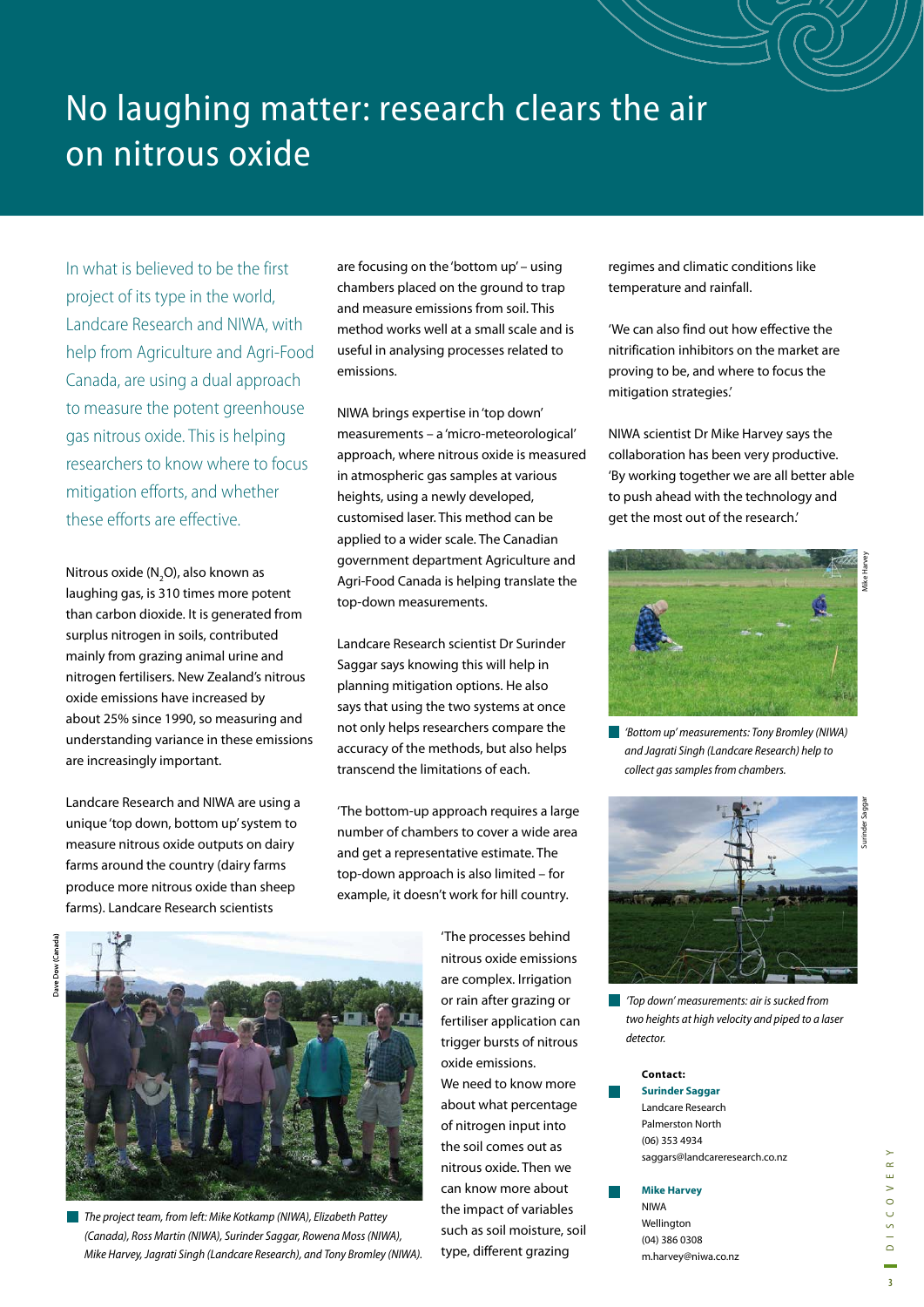# No laughing matter: research clears the air on nitrous oxide

In what is believed to be the first project of its type in the world, Landcare Research and NIWA, with help from Agriculture and Agri-Food Canada, are using a dual approach to measure the potent greenhouse gas nitrous oxide. This is helping researchers to know where to focus mitigation efforts, and whether these efforts are effective.

Nitrous oxide (N<sub>2</sub>O), also known as laughing gas, is 310 times more potent than carbon dioxide. It is generated from surplus nitrogen in soils, contributed mainly from grazing animal urine and nitrogen fertilisers. New Zealand's nitrous oxide emissions have increased by about 25% since 1990, so measuring and understanding variance in these emissions are increasingly important.

Landcare Research and NIWA are using a unique 'top down, bottom up' system to measure nitrous oxide outputs on dairy farms around the country (dairy farms produce more nitrous oxide than sheep farms). Landcare Research scientists

are focusing on the 'bottom up' – using chambers placed on the ground to trap and measure emissions from soil. This method works well at a small scale and is useful in analysing processes related to emissions.

NIWA brings expertise in 'top down' measurements – a 'micro-meteorological' approach, where nitrous oxide is measured in atmospheric gas samples at various heights, using a newly developed, customised laser. This method can be applied to a wider scale. The Canadian government department Agriculture and Agri-Food Canada is helping translate the top-down measurements.

Landcare Research scientist Dr Surinder Saggar says knowing this will help in planning mitigation options. He also says that using the two systems at once not only helps researchers compare the accuracy of the methods, but also helps transcend the limitations of each.

'The bottom-up approach requires a large number of chambers to cover a wide area and get a representative estimate. The top-down approach is also limited – for example, it doesn't work for hill country.



The project team, from left: Mike Kotkamp (NIWA), Elizabeth Pattey (Canada), Ross Martin (NIWA), Surinder Saggar, Rowena Moss (NIWA), Mike Harvey, Jagrati Singh (Landcare Research), and Tony Bromley (NIWA).

'The processes behind nitrous oxide emissions are complex. Irrigation or rain after grazing or fertiliser application can trigger bursts of nitrous oxide emissions. We need to know more about what percentage of nitrogen input into the soil comes out as nitrous oxide. Then we can know more about the impact of variables such as soil moisture, soil type, different grazing

regimes and climatic conditions like temperature and rainfall.

'We can also find out how effective the nitrification inhibitors on the market are proving to be, and where to focus the mitigation strategies.'

NIWA scientist Dr Mike Harvey says the collaboration has been very productive. 'By working together we are all better able to push ahead with the technology and get the most out of the research.'



'Bottom up' measurements: Tony Bromley (NIWA) and Jagrati Singh (Landcare Research) help to collect gas samples from chambers.



'Top down' measurements: air is sucked from two heights at high velocity and piped to a laser detector.

#### **Contact:**

**Surinder Saggar** Landcare Research Palmerston North (06) 353 4934 saggars@landcareresearch.co.nz

#### **Mike Harvey**

NIWA Wellington (04) 386 0308 m.harvey@niwa.co.nz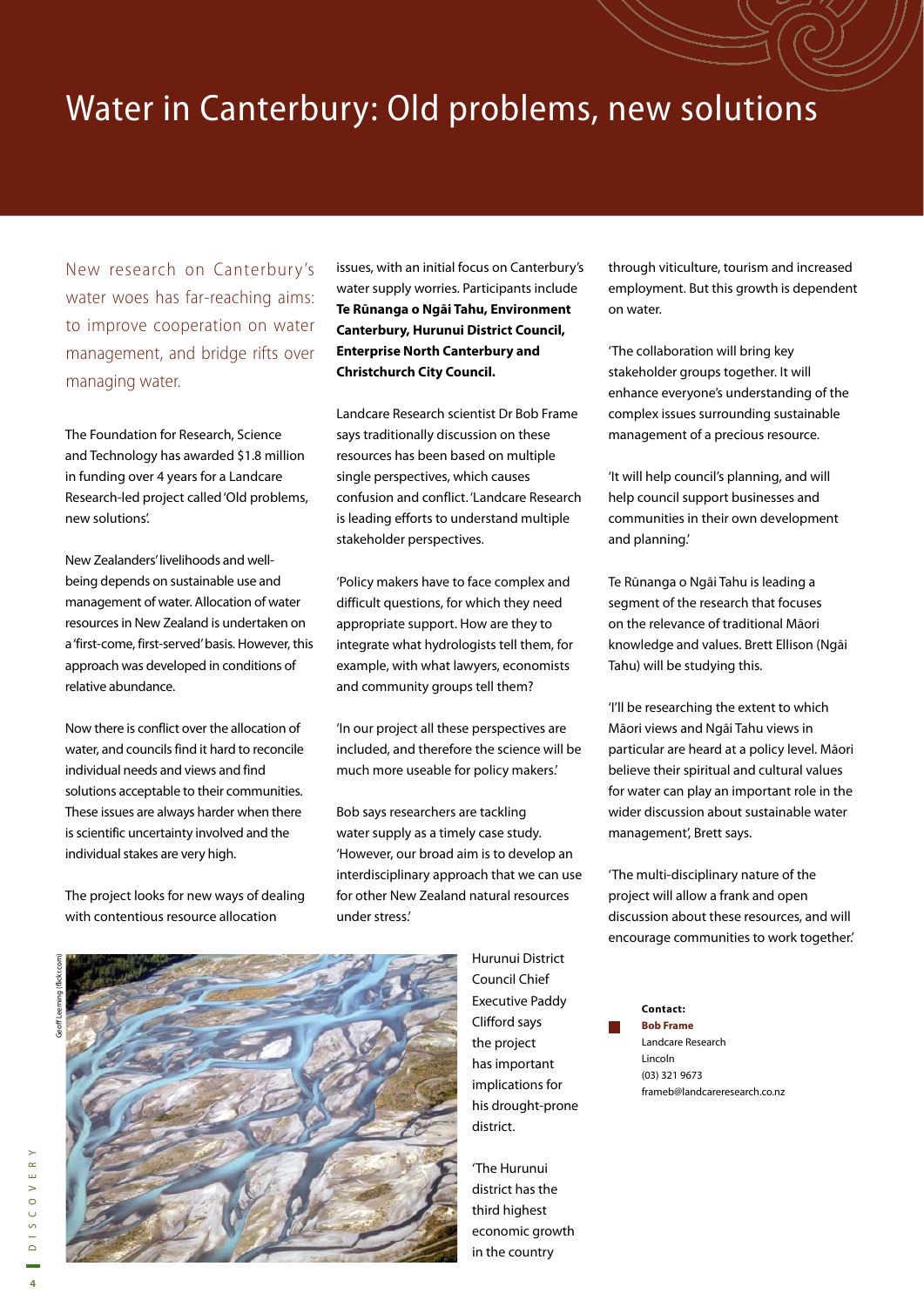## Water in Canterbury: Old problems, new solutions

New research on Canterbury's water woes has far-reaching aims: to improve cooperation on water management, and bridge rifts over managing water.

The Foundation for Research, Science and Technology has awarded \$1.8 million in funding over 4 years for a Landcare Research-led project called 'Old problems, new solutions'.

New Zealanders' livelihoods and wellbeing depends on sustainable use and management of water. Allocation of water resources in New Zealand is undertaken on a 'first-come, first-served' basis. However, this approach was developed in conditions of relative abundance.

Now there is conflict over the allocation of water, and councils find it hard to reconcile individual needs and views and find solutions acceptable to their communities. These issues are always harder when there is scientific uncertainty involved and the individual stakes are very high.

The project looks for new ways of dealing with contentious resource allocation

issues, with an initial focus on Canterbury's water supply worries. Participants include **Te Rūnanga o Ngāi Tahu, Environment Canterbury, Hurunui District Council, Enterprise North Canterbury and Christchurch City Council.** 

Landcare Research scientist Dr Bob Frame says traditionally discussion on these resources has been based on multiple single perspectives, which causes confusion and conflict. 'Landcare Research is leading efforts to understand multiple stakeholder perspectives.

'Policy makers have to face complex and difficult questions, for which they need appropriate support. How are they to integrate what hydrologists tell them, for example, with what lawyers, economists and community groups tell them?

'In our project all these perspectives are included, and therefore the science will be much more useable for policy makers.'

Bob says researchers are tackling water supply as a timely case study. 'However, our broad aim is to develop an interdisciplinary approach that we can use for other New Zealand natural resources under stress.'



Hurunui District Council Chief Executive Paddy Clifford says the project has important implications for his drought-prone district.

'The Hurunui district has the third highest economic growth in the country

through viticulture, tourism and increased employment. But this growth is dependent on water.

'The collaboration will bring key stakeholder groups together. It will enhance everyone's understanding of the complex issues surrounding sustainable management of a precious resource.

'It will help council's planning, and will help council support businesses and communities in their own development and planning.'

Te Rūnanga o Ngāi Tahu is leading a segment of the research that focuses on the relevance of traditional Māori knowledge and values. Brett Ellison (Ngāi Tahu) will be studying this.

'I'll be researching the extent to which Māori views and Ngāi Tahu views in particular are heard at a policy level. Māori believe their spiritual and cultural values for water can play an important role in the wider discussion about sustainable water management', Brett says.

'The multi-disciplinary nature of the project will allow a frank and open discussion about these resources, and will encourage communities to work together.'

> **Bob Frame** Landcare Research Lincoln (03) 321 9673 frameb@landcareresearch.co.nz

**Contact:**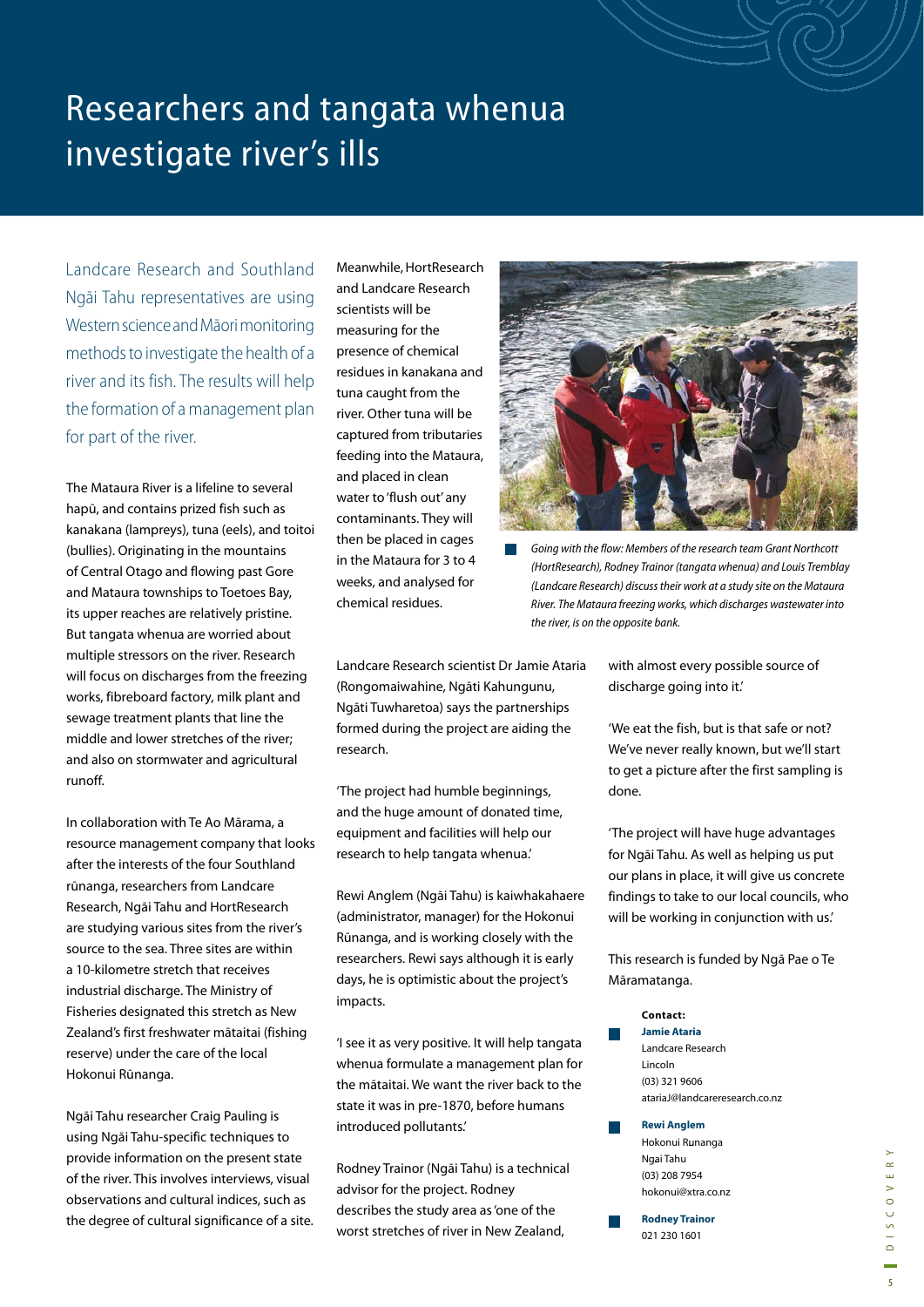# Researchers and tangata whenua investigate river's ills

Landcare Research and Southland Ngāi Tahu representatives are using Western science and Māori monitoring methods to investigate the health of a river and its fish. The results will help the formation of a management plan for part of the river.

The Mataura River is a lifeline to several hapū, and contains prized fish such as kanakana (lampreys), tuna (eels), and toitoi (bullies). Originating in the mountains of Central Otago and flowing past Gore and Mataura townships to Toetoes Bay, its upper reaches are relatively pristine. But tangata whenua are worried about multiple stressors on the river. Research will focus on discharges from the freezing works, fibreboard factory, milk plant and sewage treatment plants that line the middle and lower stretches of the river; and also on stormwater and agricultural runoff.

In collaboration with Te Ao Mārama, a resource management company that looks after the interests of the four Southland rūnanga, researchers from Landcare Research, Ngāi Tahu and HortResearch are studying various sites from the river's source to the sea. Three sites are within a 10-kilometre stretch that receives industrial discharge. The Ministry of Fisheries designated this stretch as New Zealand's first freshwater mātaitai (fishing reserve) under the care of the local Hokonui Rūnanga.

Ngāi Tahu researcher Craig Pauling is using Ngāi Tahu-specific techniques to provide information on the present state of the river. This involves interviews, visual observations and cultural indices, such as the degree of cultural significance of a site. Meanwhile, HortResearch and Landcare Research scientists will be measuring for the presence of chemical residues in kanakana and tuna caught from the river. Other tuna will be captured from tributaries feeding into the Mataura, and placed in clean water to 'flush out' any contaminants. They will then be placed in cages in the Mataura for 3 to 4 weeks, and analysed for chemical residues.



Going with the flow: Members of the research team Grant Northcott (HortResearch), Rodney Trainor (tangata whenua) and Louis Tremblay (Landcare Research) discuss their work at a study site on the Mataura River. The Mataura freezing works, which discharges wastewater into the river, is on the opposite bank.

Landcare Research scientist Dr Jamie Ataria (Rongomaiwahine, Ngāti Kahungunu, Ngāti Tuwharetoa) says the partnerships formed during the project are aiding the research.

'The project had humble beginnings, and the huge amount of donated time, equipment and facilities will help our research to help tangata whenua.'

Rewi Anglem (Ngāi Tahu) is kaiwhakahaere (administrator, manager) for the Hokonui Rūnanga, and is working closely with the researchers. Rewi says although it is early days, he is optimistic about the project's impacts.

'I see it as very positive. It will help tangata whenua formulate a management plan for the mātaitai. We want the river back to the state it was in pre-1870, before humans introduced pollutants.'

Rodney Trainor (Ngāi Tahu) is a technical advisor for the project. Rodney describes the study area as 'one of the worst stretches of river in New Zealand,

with almost every possible source of discharge going into it.'

'We eat the fish, but is that safe or not? We've never really known, but we'll start to get a picture after the first sampling is done.

'The project will have huge advantages for Ngāi Tahu. As well as helping us put our plans in place, it will give us concrete findings to take to our local councils, who will be working in conjunction with us.'

This research is funded by Ngā Pae o Te Māramatanga.

**Contact: Jamie Ataria** Landcare Research Lincoln (03) 321 9606 atariaJ@landcareresearch.co.nz

#### **Rewi Anglem**

Hokonui Runanga Ngai Tahu (03) 208 7954 hokonui@xtra.co.nz

**Rodney Trainor** 021 230 1601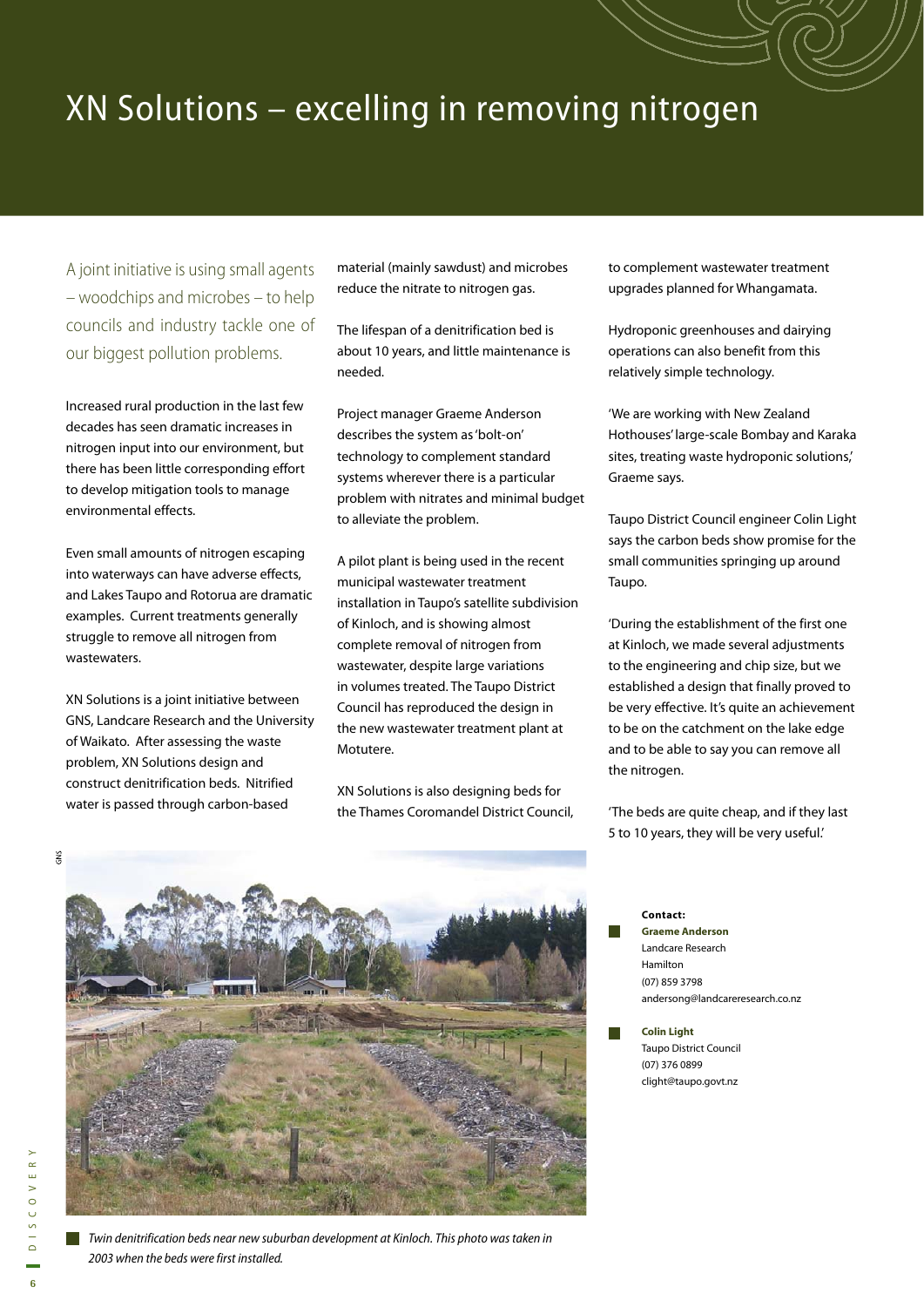# XN Solutions – excelling in removing nitrogen

A joint initiative is using small agents – woodchips and microbes – to help councils and industry tackle one of our biggest pollution problems.

Increased rural production in the last few decades has seen dramatic increases in nitrogen input into our environment, but there has been little corresponding effort to develop mitigation tools to manage environmental effects.

Even small amounts of nitrogen escaping into waterways can have adverse effects, and Lakes Taupo and Rotorua are dramatic examples. Current treatments generally struggle to remove all nitrogen from wastewaters.

XN Solutions is a joint initiative between GNS, Landcare Research and the University of Waikato. After assessing the waste problem, XN Solutions design and construct denitrification beds. Nitrified water is passed through carbon-based

material (mainly sawdust) and microbes reduce the nitrate to nitrogen gas.

The lifespan of a denitrification bed is about 10 years, and little maintenance is needed.

Project manager Graeme Anderson describes the system as 'bolt-on' technology to complement standard systems wherever there is a particular problem with nitrates and minimal budget to alleviate the problem.

A pilot plant is being used in the recent municipal wastewater treatment installation in Taupo's satellite subdivision of Kinloch, and is showing almost complete removal of nitrogen from wastewater, despite large variations in volumes treated. The Taupo District Council has reproduced the design in the new wastewater treatment plant at Motutere.

XN Solutions is also designing beds for the Thames Coromandel District Council, to complement wastewater treatment upgrades planned for Whangamata.

Hydroponic greenhouses and dairying operations can also benefit from this relatively simple technology.

'We are working with New Zealand Hothouses' large-scale Bombay and Karaka sites, treating waste hydroponic solutions,' Graeme says.

Taupo District Council engineer Colin Light says the carbon beds show promise for the small communities springing up around Taupo.

'During the establishment of the first one at Kinloch, we made several adjustments to the engineering and chip size, but we established a design that finally proved to be very effective. It's quite an achievement to be on the catchment on the lake edge and to be able to say you can remove all the nitrogen.

'The beds are quite cheap, and if they last 5 to 10 years, they will be very useful.'



**Contact: Graeme Anderson** Landcare Research Hamilton (07) 859 3798 andersong@landcareresearch.co.nz

**Colin Light** Taupo District Council (07) 376 0899 clight@taupo.govt.nz

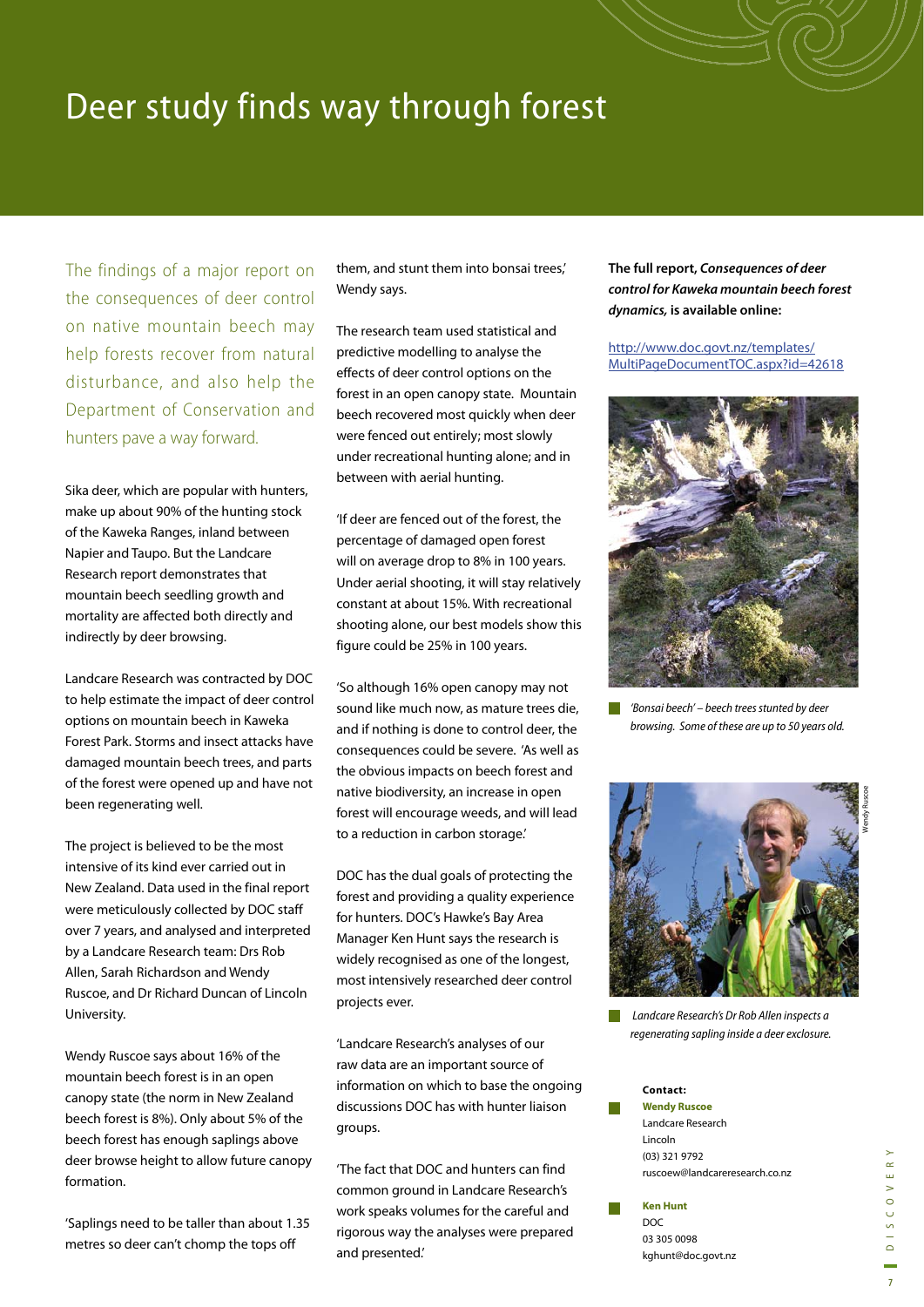# Deer study finds way through forest

The findings of a major report on the consequences of deer control on native mountain beech may help forests recover from natural disturbance, and also help the Department of Conservation and hunters pave a way forward.

Sika deer, which are popular with hunters, make up about 90% of the hunting stock of the Kaweka Ranges, inland between Napier and Taupo. But the Landcare Research report demonstrates that mountain beech seedling growth and mortality are affected both directly and indirectly by deer browsing.

Landcare Research was contracted by DOC to help estimate the impact of deer control options on mountain beech in Kaweka Forest Park. Storms and insect attacks have damaged mountain beech trees, and parts of the forest were opened up and have not been regenerating well.

The project is believed to be the most intensive of its kind ever carried out in New Zealand. Data used in the final report were meticulously collected by DOC staff over 7 years, and analysed and interpreted by a Landcare Research team: Drs Rob Allen, Sarah Richardson and Wendy Ruscoe, and Dr Richard Duncan of Lincoln University.

Wendy Ruscoe says about 16% of the mountain beech forest is in an open canopy state (the norm in New Zealand beech forest is 8%). Only about 5% of the beech forest has enough saplings above deer browse height to allow future canopy formation.

'Saplings need to be taller than about 1.35 metres so deer can't chomp the tops off

them, and stunt them into bonsai trees,' Wendy says.

The research team used statistical and predictive modelling to analyse the effects of deer control options on the forest in an open canopy state. Mountain beech recovered most quickly when deer were fenced out entirely; most slowly under recreational hunting alone; and in between with aerial hunting.

'If deer are fenced out of the forest, the percentage of damaged open forest will on average drop to 8% in 100 years. Under aerial shooting, it will stay relatively constant at about 15%. With recreational shooting alone, our best models show this figure could be 25% in 100 years.

'So although 16% open canopy may not sound like much now, as mature trees die, and if nothing is done to control deer, the consequences could be severe. 'As well as the obvious impacts on beech forest and native biodiversity, an increase in open forest will encourage weeds, and will lead to a reduction in carbon storage.'

DOC has the dual goals of protecting the forest and providing a quality experience for hunters. DOC's Hawke's Bay Area Manager Ken Hunt says the research is widely recognised as one of the longest, most intensively researched deer control projects ever.

'Landcare Research's analyses of our raw data are an important source of information on which to base the ongoing discussions DOC has with hunter liaison groups.

'The fact that DOC and hunters can find common ground in Landcare Research's work speaks volumes for the careful and rigorous way the analyses were prepared and presented.'

**The full report,** *Consequences of deer control for Kaweka mountain beech forest dynamics,* **is available online:** 

http://www.doc.govt.nz/templates/ MultiPageDocumentTOC.aspx?id=42618



 $\Box$ 'Bonsai beech' – beech trees stunted by deer browsing. Some of these are up to 50 years old.



 Landcare Research's Dr Rob Allen inspects a regenerating sapling inside a deer exclosure.

#### **Contact:**

**Wendy Ruscoe**  Landcare Research Lincoln (03) 321 9792 ruscoew@landcareresearch.co.nz

#### **Ken Hunt** DOC

03 305 0098 kghunt@doc.govt.nz